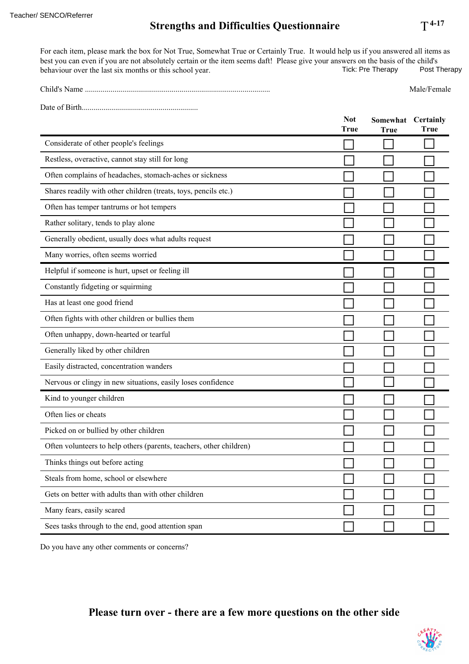## **Strengths and Difficulties Questionnaire**

For each item, please mark the box for Not True, Somewhat True or Certainly True. It would help us if you answered all items as best you can even if you are not absolutely certain or the item seems daft! Please give your answers on the basis of the child's behaviour over the last six months or this school year. Tick: Pre Therapy Post Therapy behaviour over the last six months or this school year. Teacher/ SENCO/Referrer<br> **Strengths and Difficulties Questionnaire** T<sup>4-17</sup><br>
For each item, please mark the box for Not True, Somewhat True or Certainly True. It would help us if you answered all items as<br>
best you can eve

| Child's Name | Male<br>∽าดเ⊩ |
|--------------|---------------|
|              |               |

Date of Birth...........................................................

|                                                                     | <b>Not</b><br><b>True</b> | Somewhat Certainly<br><b>True</b> | True |
|---------------------------------------------------------------------|---------------------------|-----------------------------------|------|
| Considerate of other people's feelings                              |                           |                                   |      |
| Restless, overactive, cannot stay still for long                    |                           |                                   |      |
| Often complains of headaches, stomach-aches or sickness             |                           |                                   |      |
| Shares readily with other children (treats, toys, pencils etc.)     |                           |                                   |      |
| Often has temper tantrums or hot tempers                            |                           |                                   |      |
| Rather solitary, tends to play alone                                |                           |                                   |      |
| Generally obedient, usually does what adults request                |                           |                                   |      |
| Many worries, often seems worried                                   |                           |                                   |      |
| Helpful if someone is hurt, upset or feeling ill                    |                           |                                   |      |
| Constantly fidgeting or squirming                                   |                           |                                   |      |
| Has at least one good friend                                        |                           |                                   |      |
| Often fights with other children or bullies them                    |                           |                                   |      |
| Often unhappy, down-hearted or tearful                              |                           |                                   |      |
| Generally liked by other children                                   |                           |                                   |      |
| Easily distracted, concentration wanders                            |                           |                                   |      |
| Nervous or clingy in new situations, easily loses confidence        |                           |                                   |      |
| Kind to younger children                                            |                           |                                   |      |
| Often lies or cheats                                                |                           |                                   |      |
| Picked on or bullied by other children                              |                           |                                   |      |
| Often volunteers to help others (parents, teachers, other children) |                           |                                   |      |
| Thinks things out before acting                                     |                           |                                   |      |
| Steals from home, school or elsewhere                               |                           |                                   |      |
| Gets on better with adults than with other children                 |                           |                                   |      |
| Many fears, easily scared                                           |                           |                                   |      |
| Sees tasks through to the end, good attention span                  |                           |                                   |      |

Do you have any other comments or concerns?

## **Please turn over - there are a few more questions on the other side**



 $T^{4-17}$